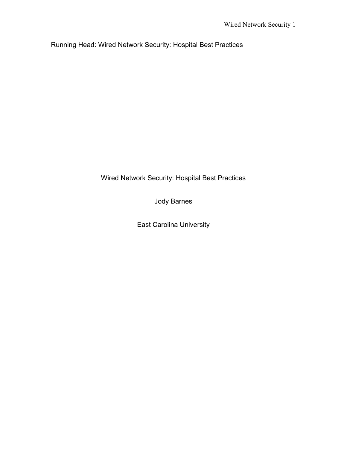Running Head: Wired Network Security: Hospital Best Practices

Wired Network Security: Hospital Best Practices

Jody Barnes

East Carolina University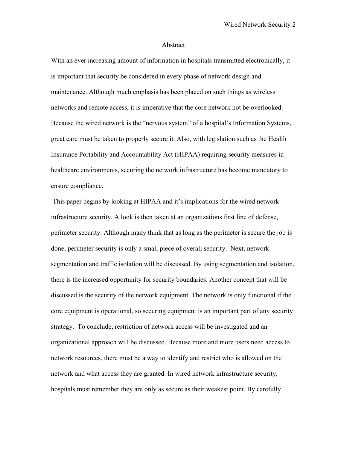#### Abstract

With an ever increasing amount of information in hospitals transmitted electronically, it is important that security be considered in every phase of network design and maintenance. Although much emphasis has been placed on such things as wireless networks and remote access, it is imperative that the core network not be overlooked. Because the wired network is the "nervous system" of a hospital's Information Systems, great care must be taken to properly secure it. Also, with legislation such as the Health Insurance Portability and Accountability Act (HIPAA) requiring security measures in healthcare environments, securing the network infrastructure has become mandatory to ensure compliance.

 This paper begins by looking at HIPAA and it's implications for the wired network infrastructure security. A look is then taken at an organizations first line of defense, perimeter security. Although many think that as long as the perimeter is secure the job is done, perimeter security is only a small piece of overall security. Next, network segmentation and traffic isolation will be discussed. By using segmentation and isolation, there is the increased opportunity for security boundaries. Another concept that will be discussed is the security of the network equipment. The network is only functional if the core equipment is operational, so securing equipment is an important part of any security strategy. To conclude, restriction of network access will be investigated and an organizational approach will be discussed. Because more and more users need access to network resources, there must be a way to identify and restrict who is allowed on the network and what access they are granted. In wired network infrastructure security, hospitals must remember they are only as secure as their weakest point. By carefully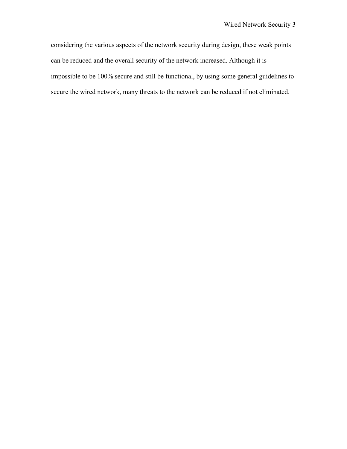considering the various aspects of the network security during design, these weak points can be reduced and the overall security of the network increased. Although it is impossible to be 100% secure and still be functional, by using some general guidelines to secure the wired network, many threats to the network can be reduced if not eliminated.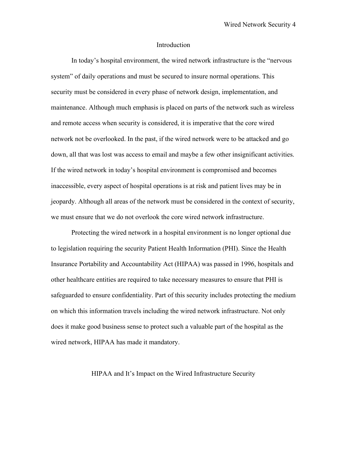#### Introduction

In today's hospital environment, the wired network infrastructure is the "nervous system" of daily operations and must be secured to insure normal operations. This security must be considered in every phase of network design, implementation, and maintenance. Although much emphasis is placed on parts of the network such as wireless and remote access when security is considered, it is imperative that the core wired network not be overlooked. In the past, if the wired network were to be attacked and go down, all that was lost was access to email and maybe a few other insignificant activities. If the wired network in today's hospital environment is compromised and becomes inaccessible, every aspect of hospital operations is at risk and patient lives may be in jeopardy. Although all areas of the network must be considered in the context of security, we must ensure that we do not overlook the core wired network infrastructure.

Protecting the wired network in a hospital environment is no longer optional due to legislation requiring the security Patient Health Information (PHI). Since the Health Insurance Portability and Accountability Act (HIPAA) was passed in 1996, hospitals and other healthcare entities are required to take necessary measures to ensure that PHI is safeguarded to ensure confidentiality. Part of this security includes protecting the medium on which this information travels including the wired network infrastructure. Not only does it make good business sense to protect such a valuable part of the hospital as the wired network, HIPAA has made it mandatory.

# HIPAA and It's Impact on the Wired Infrastructure Security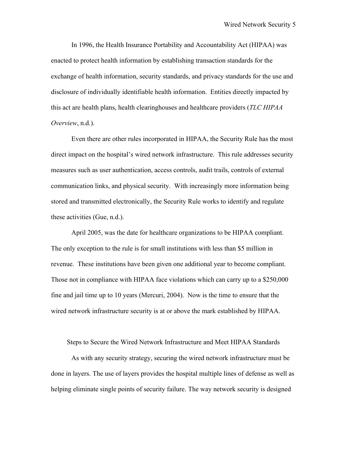In 1996, the Health Insurance Portability and Accountability Act (HIPAA) was enacted to protect health information by establishing transaction standards for the exchange of health information, security standards, and privacy standards for the use and disclosure of individually identifiable health information. Entities directly impacted by this act are health plans, health clearinghouses and healthcare providers (*TLC HIPAA Overview*, n.d.).

Even there are other rules incorporated in HIPAA, the Security Rule has the most direct impact on the hospital's wired network infrastructure. This rule addresses security measures such as user authentication, access controls, audit trails, controls of external communication links, and physical security. With increasingly more information being stored and transmitted electronically, the Security Rule works to identify and regulate these activities (Gue, n.d.).

April 2005, was the date for healthcare organizations to be HIPAA compliant. The only exception to the rule is for small institutions with less than \$5 million in revenue. These institutions have been given one additional year to become compliant. Those not in compliance with HIPAA face violations which can carry up to a \$250,000 fine and jail time up to 10 years (Mercuri, 2004). Now is the time to ensure that the wired network infrastructure security is at or above the mark established by HIPAA.

Steps to Secure the Wired Network Infrastructure and Meet HIPAA Standards

As with any security strategy, securing the wired network infrastructure must be done in layers. The use of layers provides the hospital multiple lines of defense as well as helping eliminate single points of security failure. The way network security is designed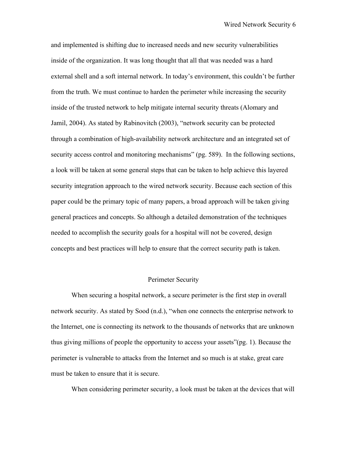and implemented is shifting due to increased needs and new security vulnerabilities inside of the organization. It was long thought that all that was needed was a hard external shell and a soft internal network. In today's environment, this couldn't be further from the truth. We must continue to harden the perimeter while increasing the security inside of the trusted network to help mitigate internal security threats (Alomary and Jamil, 2004). As stated by Rabinovitch (2003), "network security can be protected through a combination of high-availability network architecture and an integrated set of security access control and monitoring mechanisms" (pg. 589). In the following sections, a look will be taken at some general steps that can be taken to help achieve this layered security integration approach to the wired network security. Because each section of this paper could be the primary topic of many papers, a broad approach will be taken giving general practices and concepts. So although a detailed demonstration of the techniques needed to accomplish the security goals for a hospital will not be covered, design concepts and best practices will help to ensure that the correct security path is taken.

#### Perimeter Security

When securing a hospital network, a secure perimeter is the first step in overall network security. As stated by Sood (n.d.), "when one connects the enterprise network to the Internet, one is connecting its network to the thousands of networks that are unknown thus giving millions of people the opportunity to access your assets"(pg. 1). Because the perimeter is vulnerable to attacks from the Internet and so much is at stake, great care must be taken to ensure that it is secure.

When considering perimeter security, a look must be taken at the devices that will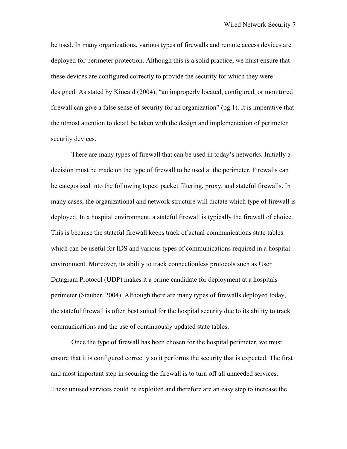be used. In many organizations, various types of firewalls and remote access devices are deployed for perimeter protection. Although this is a solid practice, we must ensure that these devices are configured correctly to provide the security for which they were designed. As stated by Kincaid (2004), "an improperly located, configured, or monitored firewall can give a false sense of security for an organization" (pg.1). It is imperative that the utmost attention to detail be taken with the design and implementation of perimeter security devices.

There are many types of firewall that can be used in today's networks. Initially a decision must be made on the type of firewall to be used at the perimeter. Firewalls can be categorized into the following types: packet filtering, proxy, and stateful firewalls. In many cases, the organizational and network structure will dictate which type of firewall is deployed. In a hospital environment, a stateful firewall is typically the firewall of choice. This is because the stateful firewall keeps track of actual communications state tables which can be useful for IDS and various types of communications required in a hospital environment. Moreover, its ability to track connectionless protocols such as User Datagram Protocol (UDP) makes it a prime candidate for deployment at a hospitals perimeter (Stauber, 2004). Although there are many types of firewalls deployed today, the stateful firewall is often best suited for the hospital security due to its ability to track communications and the use of continuously updated state tables.

Once the type of firewall has been chosen for the hospital perimeter, we must ensure that it is configured correctly so it performs the security that is expected. The first and most important step in securing the firewall is to turn off all unneeded services. These unused services could be exploited and therefore are an easy step to increase the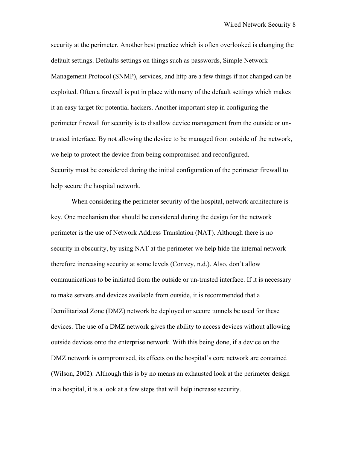security at the perimeter. Another best practice which is often overlooked is changing the default settings. Defaults settings on things such as passwords, Simple Network Management Protocol (SNMP), services, and http are a few things if not changed can be exploited. Often a firewall is put in place with many of the default settings which makes it an easy target for potential hackers. Another important step in configuring the perimeter firewall for security is to disallow device management from the outside or untrusted interface. By not allowing the device to be managed from outside of the network, we help to protect the device from being compromised and reconfigured. Security must be considered during the initial configuration of the perimeter firewall to help secure the hospital network.

When considering the perimeter security of the hospital, network architecture is key. One mechanism that should be considered during the design for the network perimeter is the use of Network Address Translation (NAT). Although there is no security in obscurity, by using NAT at the perimeter we help hide the internal network therefore increasing security at some levels (Convey, n.d.). Also, don't allow communications to be initiated from the outside or un-trusted interface. If it is necessary to make servers and devices available from outside, it is recommended that a Demilitarized Zone (DMZ) network be deployed or secure tunnels be used for these devices. The use of a DMZ network gives the ability to access devices without allowing outside devices onto the enterprise network. With this being done, if a device on the DMZ network is compromised, its effects on the hospital's core network are contained (Wilson, 2002). Although this is by no means an exhausted look at the perimeter design in a hospital, it is a look at a few steps that will help increase security.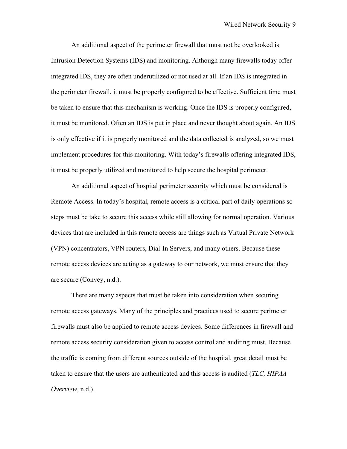An additional aspect of the perimeter firewall that must not be overlooked is Intrusion Detection Systems (IDS) and monitoring. Although many firewalls today offer integrated IDS, they are often underutilized or not used at all. If an IDS is integrated in the perimeter firewall, it must be properly configured to be effective. Sufficient time must be taken to ensure that this mechanism is working. Once the IDS is properly configured, it must be monitored. Often an IDS is put in place and never thought about again. An IDS is only effective if it is properly monitored and the data collected is analyzed, so we must implement procedures for this monitoring. With today's firewalls offering integrated IDS, it must be properly utilized and monitored to help secure the hospital perimeter.

An additional aspect of hospital perimeter security which must be considered is Remote Access. In today's hospital, remote access is a critical part of daily operations so steps must be take to secure this access while still allowing for normal operation. Various devices that are included in this remote access are things such as Virtual Private Network (VPN) concentrators, VPN routers, Dial-In Servers, and many others. Because these remote access devices are acting as a gateway to our network, we must ensure that they are secure (Convey, n.d.).

There are many aspects that must be taken into consideration when securing remote access gateways. Many of the principles and practices used to secure perimeter firewalls must also be applied to remote access devices. Some differences in firewall and remote access security consideration given to access control and auditing must. Because the traffic is coming from different sources outside of the hospital, great detail must be taken to ensure that the users are authenticated and this access is audited (*TLC, HIPAA Overview*, n.d.).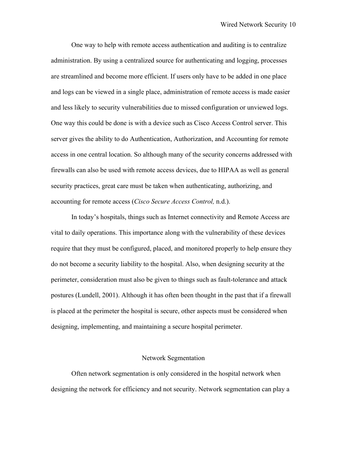One way to help with remote access authentication and auditing is to centralize administration. By using a centralized source for authenticating and logging, processes are streamlined and become more efficient. If users only have to be added in one place and logs can be viewed in a single place, administration of remote access is made easier and less likely to security vulnerabilities due to missed configuration or unviewed logs. One way this could be done is with a device such as Cisco Access Control server. This server gives the ability to do Authentication, Authorization, and Accounting for remote access in one central location. So although many of the security concerns addressed with firewalls can also be used with remote access devices, due to HIPAA as well as general security practices, great care must be taken when authenticating, authorizing, and accounting for remote access (*Cisco Secure Access Control,* n.d.).

In today's hospitals, things such as Internet connectivity and Remote Access are vital to daily operations. This importance along with the vulnerability of these devices require that they must be configured, placed, and monitored properly to help ensure they do not become a security liability to the hospital. Also, when designing security at the perimeter, consideration must also be given to things such as fault-tolerance and attack postures (Lundell, 2001). Although it has often been thought in the past that if a firewall is placed at the perimeter the hospital is secure, other aspects must be considered when designing, implementing, and maintaining a secure hospital perimeter.

#### Network Segmentation

Often network segmentation is only considered in the hospital network when designing the network for efficiency and not security. Network segmentation can play a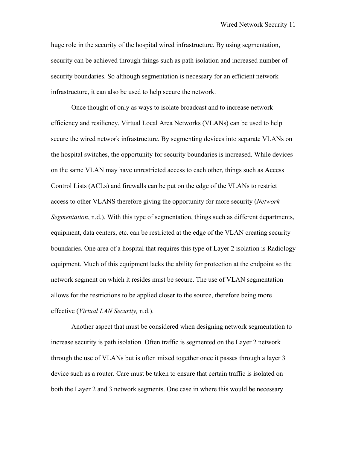huge role in the security of the hospital wired infrastructure. By using segmentation, security can be achieved through things such as path isolation and increased number of security boundaries. So although segmentation is necessary for an efficient network infrastructure, it can also be used to help secure the network.

Once thought of only as ways to isolate broadcast and to increase network efficiency and resiliency, Virtual Local Area Networks (VLANs) can be used to help secure the wired network infrastructure. By segmenting devices into separate VLANs on the hospital switches, the opportunity for security boundaries is increased. While devices on the same VLAN may have unrestricted access to each other, things such as Access Control Lists (ACLs) and firewalls can be put on the edge of the VLANs to restrict access to other VLANS therefore giving the opportunity for more security (*Network Segmentation*, n.d.). With this type of segmentation, things such as different departments, equipment, data centers, etc. can be restricted at the edge of the VLAN creating security boundaries. One area of a hospital that requires this type of Layer 2 isolation is Radiology equipment. Much of this equipment lacks the ability for protection at the endpoint so the network segment on which it resides must be secure. The use of VLAN segmentation allows for the restrictions to be applied closer to the source, therefore being more effective (*Virtual LAN Security,* n.d.).

Another aspect that must be considered when designing network segmentation to increase security is path isolation. Often traffic is segmented on the Layer 2 network through the use of VLANs but is often mixed together once it passes through a layer 3 device such as a router. Care must be taken to ensure that certain traffic is isolated on both the Layer 2 and 3 network segments. One case in where this would be necessary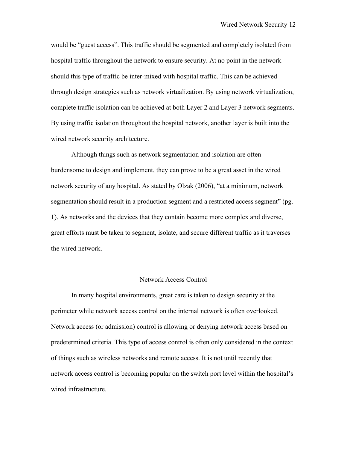would be "guest access". This traffic should be segmented and completely isolated from hospital traffic throughout the network to ensure security. At no point in the network should this type of traffic be inter-mixed with hospital traffic. This can be achieved through design strategies such as network virtualization. By using network virtualization, complete traffic isolation can be achieved at both Layer 2 and Layer 3 network segments. By using traffic isolation throughout the hospital network, another layer is built into the wired network security architecture.

Although things such as network segmentation and isolation are often burdensome to design and implement, they can prove to be a great asset in the wired network security of any hospital. As stated by Olzak (2006), "at a minimum, network segmentation should result in a production segment and a restricted access segment" (pg. 1). As networks and the devices that they contain become more complex and diverse, great efforts must be taken to segment, isolate, and secure different traffic as it traverses the wired network.

#### Network Access Control

In many hospital environments, great care is taken to design security at the perimeter while network access control on the internal network is often overlooked. Network access (or admission) control is allowing or denying network access based on predetermined criteria. This type of access control is often only considered in the context of things such as wireless networks and remote access. It is not until recently that network access control is becoming popular on the switch port level within the hospital's wired infrastructure.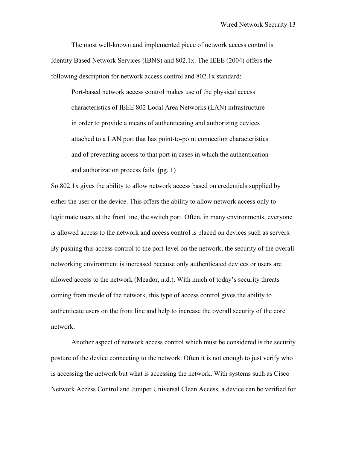The most well-known and implemented piece of network access control is Identity Based Network Services (IBNS) and 802.1x. The IEEE (2004) offers the following description for network access control and 802.1x standard:

Port-based network access control makes use of the physical access characteristics of IEEE 802 Local Area Networks (LAN) infrastructure in order to provide a means of authenticating and authorizing devices attached to a LAN port that has point-to-point connection characteristics and of preventing access to that port in cases in which the authentication and authorization process fails. (pg. 1)

So 802.1x gives the ability to allow network access based on credentials supplied by either the user or the device. This offers the ability to allow network access only to legitimate users at the front line, the switch port. Often, in many environments, everyone is allowed access to the network and access control is placed on devices such as servers. By pushing this access control to the port-level on the network, the security of the overall networking environment is increased because only authenticated devices or users are allowed access to the network (Meador, n.d.). With much of today's security threats coming from inside of the network, this type of access control gives the ability to authenticate users on the front line and help to increase the overall security of the core network.

Another aspect of network access control which must be considered is the security posture of the device connecting to the network. Often it is not enough to just verify who is accessing the network but what is accessing the network. With systems such as Cisco Network Access Control and Juniper Universal Clean Access, a device can be verified for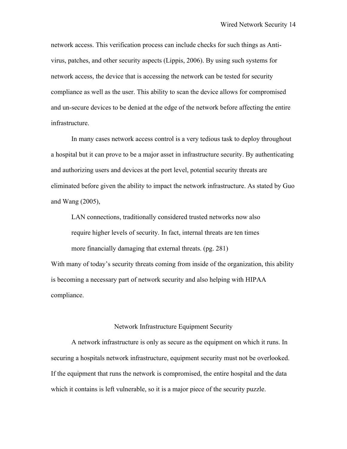network access. This verification process can include checks for such things as Antivirus, patches, and other security aspects (Lippis, 2006). By using such systems for network access, the device that is accessing the network can be tested for security compliance as well as the user. This ability to scan the device allows for compromised and un-secure devices to be denied at the edge of the network before affecting the entire infrastructure.

In many cases network access control is a very tedious task to deploy throughout a hospital but it can prove to be a major asset in infrastructure security. By authenticating and authorizing users and devices at the port level, potential security threats are eliminated before given the ability to impact the network infrastructure. As stated by Guo and Wang (2005),

LAN connections, traditionally considered trusted networks now also require higher levels of security. In fact, internal threats are ten times more financially damaging that external threats. (pg. 281) With many of today's security threats coming from inside of the organization, this ability is becoming a necessary part of network security and also helping with HIPAA

compliance.

## Network Infrastructure Equipment Security

A network infrastructure is only as secure as the equipment on which it runs. In securing a hospitals network infrastructure, equipment security must not be overlooked. If the equipment that runs the network is compromised, the entire hospital and the data which it contains is left vulnerable, so it is a major piece of the security puzzle.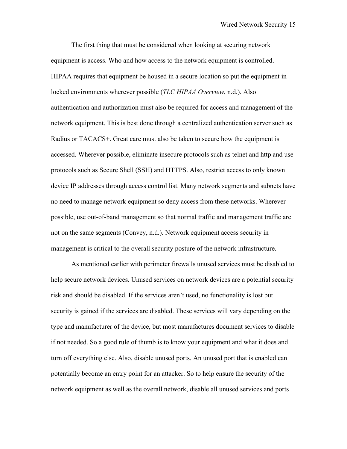The first thing that must be considered when looking at securing network equipment is access. Who and how access to the network equipment is controlled. HIPAA requires that equipment be housed in a secure location so put the equipment in locked environments wherever possible (*TLC HIPAA Overview*, n.d.). Also authentication and authorization must also be required for access and management of the network equipment. This is best done through a centralized authentication server such as Radius or TACACS+. Great care must also be taken to secure how the equipment is accessed. Wherever possible, eliminate insecure protocols such as telnet and http and use protocols such as Secure Shell (SSH) and HTTPS. Also, restrict access to only known device IP addresses through access control list. Many network segments and subnets have no need to manage network equipment so deny access from these networks. Wherever possible, use out-of-band management so that normal traffic and management traffic are not on the same segments (Convey, n.d.). Network equipment access security in management is critical to the overall security posture of the network infrastructure.

As mentioned earlier with perimeter firewalls unused services must be disabled to help secure network devices. Unused services on network devices are a potential security risk and should be disabled. If the services aren't used, no functionality is lost but security is gained if the services are disabled. These services will vary depending on the type and manufacturer of the device, but most manufactures document services to disable if not needed. So a good rule of thumb is to know your equipment and what it does and turn off everything else. Also, disable unused ports. An unused port that is enabled can potentially become an entry point for an attacker. So to help ensure the security of the network equipment as well as the overall network, disable all unused services and ports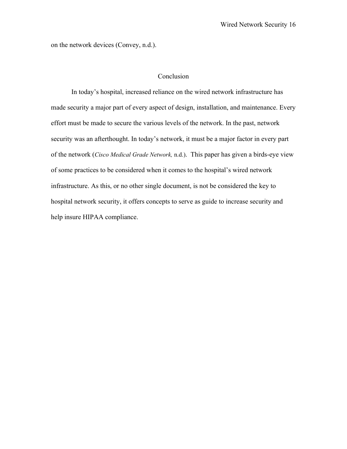on the network devices (Convey, n.d.).

# Conclusion

In today's hospital, increased reliance on the wired network infrastructure has made security a major part of every aspect of design, installation, and maintenance. Every effort must be made to secure the various levels of the network. In the past, network security was an afterthought. In today's network, it must be a major factor in every part of the network (*Cisco Medical Grade Network,* n.d.). This paper has given a birds-eye view of some practices to be considered when it comes to the hospital's wired network infrastructure. As this, or no other single document, is not be considered the key to hospital network security, it offers concepts to serve as guide to increase security and help insure HIPAA compliance.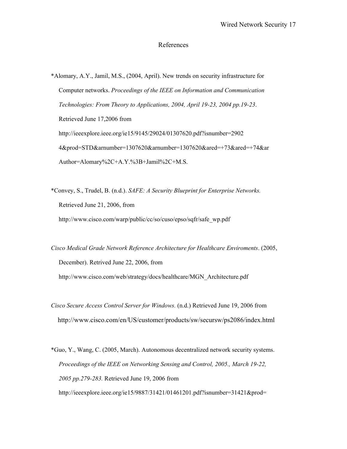## References

\*Alomary, A.Y., Jamil, M.S., (2004, April). New trends on security infrastructure for Computer networks. *Proceedings of the IEEE on Information and Communication Technologies: From Theory to Applications, 2004, April 19-23, 2004 pp.19-23*. Retrieved June 17,2006 from http://ieeexplore.ieee.org/ie15/9145/29024/01307620.pdf?isnumber=2902 4&prod=STD&arnumber=1307620&arnumber=1307620&ared=+73&ared=+74&ar Author=Alomary%2C+A.Y.%3B+Jamil%2C+M.S.

\*Convey, S., Trudel, B. (n.d.). *SAFE: A Security Blueprint for Enterprise Networks.* Retrieved June 21, 2006, from http://www.cisco.com/warp/public/cc/so/cuso/epso/sqfr/safe\_wp.pdf

*Cisco Medical Grade Network Reference Architecture for Healthcare Enviroments*. (2005, December). Retrived June 22, 2006, from http://www.cisco.com/web/strategy/docs/healthcare/MGN\_Architecture.pdf

*Cisco Secure Access Control Server for Windows.* (n.d.) Retrieved June 19, 2006 from http://www.cisco.com/en/US/customer/products/sw/secursw/ps2086/index.html

\*Guo, Y., Wang, C. (2005, March). Autonomous decentralized network security systems. *Proceedings of the IEEE on Networking Sensing and Control, 2005., March 19-22, 2005 pp.279-283.* Retrieved June 19, 2006 from

http://ieeexplore.ieee.org/ie15/9887/31421/01461201.pdf?isnumber=31421&prod=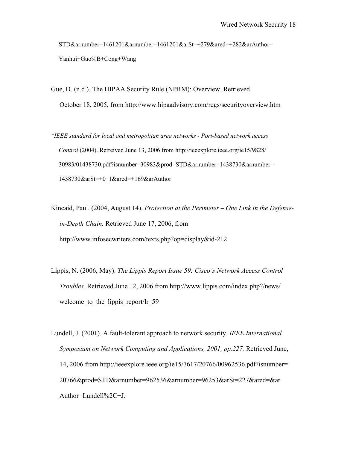STD&arnumber=1461201&arnumber=1461201&arSt=+279&ared=+282&arAuthor= Yanhui+Guo%B+Cong+Wang

Gue, D. (n.d.). The HIPAA Security Rule (NPRM): Overview. Retrieved October 18, 2005, from http://www.hipaadvisory.com/regs/securityoverview.htm

*\*IEEE standard for local and metropolitan area networks - Port-based network access Control* (2004). Retreived June 13, 2006 from http://ieeexplore.ieee.org/ie15/9828/ 30983/01438730.pdf?isnumber=30983&prod=STD&arnumber=1438730&arnumber= 1438730&arSt=+0\_1&ared=+169&arAuthor

- Kincaid, Paul. (2004, August 14). *Protection at the Perimeter One Link in the Defense in-Depth Chain.* Retrieved June 17, 2006, from http://www.infosecwriters.com/texts.php?op=display&id-212
- Lippis, N. (2006, May). *The Lippis Report Issue 59: Cisco's Network Access Control Troubles.* Retrieved June 12, 2006 from http://www.lippis.com/index.php?/news/ welcome to the lippis report/lr 59

Lundell, J. (2001). A fault-tolerant approach to network security. *IEEE International Symposium on Network Computing and Applications, 2001, pp.227. Retrieved June,*  14, 2006 from http://ieeexplore.ieee.org/ie15/7617/20766/00962536.pdf?isnumber= 20766&prod=STD&arnumber=962536&arnumber=96253&arSt=227&ared=&ar Author=Lundell%2C+J.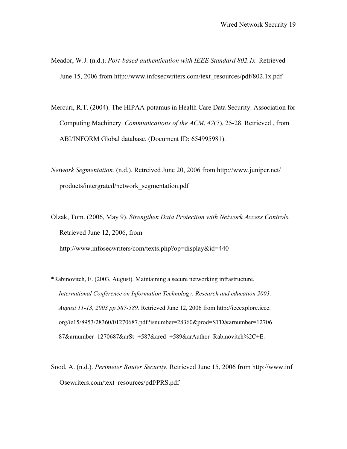- Meador, W.J. (n.d.). *Port-based authentication with IEEE Standard 802.1x.* Retrieved June 15, 2006 from http://www.infosecwriters.com/text\_resources/pdf/802.1x.pdf
- Mercuri, R.T. (2004). The HIPAA-potamus in Health Care Data Security. Association for Computing Machinery. *Communications of the ACM*, *47*(7), 25-28. Retrieved , from ABI/INFORM Global database. (Document ID: 654995981).
- *Network Segmentation.* (n.d.). Retreived June 20, 2006 from http://www.juniper.net/ products/intergrated/network\_segmentation.pdf
- Olzak, Tom. (2006, May 9). *Strengthen Data Protection with Network Access Controls.*  Retrieved June 12, 2006, from http://www.infosecwriters/com/texts.php?op=display&id=440
- \*Rabinovitch, E. (2003, August). Maintaining a secure networking infrastructure.  *International Conference on Information Technology: Research and education 2003, August 11-13, 2003 pp.587-589.* Retrieved June 12, 2006 from http://ieeexplore.ieee. org/ie15/8953/28360/01270687.pdf?isnumber=28360&prod=STD&arnumber=12706 87&arnumber=1270687&arSt=+587&ared=+589&arAuthor=Rabinovitch%2C+E.
- Sood, A. (n.d.). *Perimeter Router Security.* Retrieved June 15, 2006 from http://www.inf Osewriters.com/text\_resources/pdf/PRS.pdf